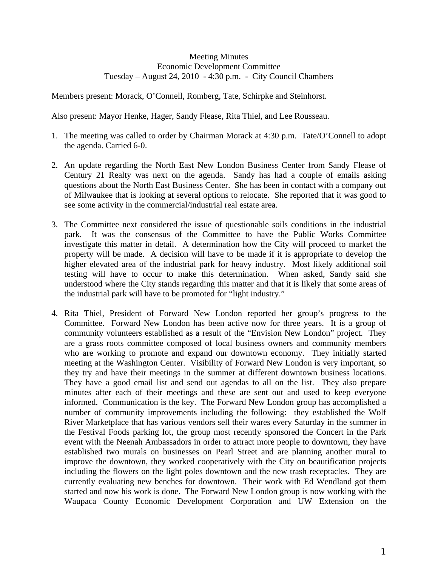## Meeting Minutes Economic Development Committee Tuesday – August 24, 2010 - 4:30 p.m. - City Council Chambers

Members present: Morack, O'Connell, Romberg, Tate, Schirpke and Steinhorst.

Also present: Mayor Henke, Hager, Sandy Flease, Rita Thiel, and Lee Rousseau.

- 1. The meeting was called to order by Chairman Morack at 4:30 p.m. Tate/O'Connell to adopt the agenda. Carried 6-0.
- 2. An update regarding the North East New London Business Center from Sandy Flease of Century 21 Realty was next on the agenda. Sandy has had a couple of emails asking questions about the North East Business Center. She has been in contact with a company out of Milwaukee that is looking at several options to relocate. She reported that it was good to see some activity in the commercial/industrial real estate area.
- 3. The Committee next considered the issue of questionable soils conditions in the industrial park. It was the consensus of the Committee to have the Public Works Committee investigate this matter in detail. A determination how the City will proceed to market the property will be made. A decision will have to be made if it is appropriate to develop the higher elevated area of the industrial park for heavy industry. Most likely additional soil testing will have to occur to make this determination. When asked, Sandy said she understood where the City stands regarding this matter and that it is likely that some areas of the industrial park will have to be promoted for "light industry."
- 4. Rita Thiel, President of Forward New London reported her group's progress to the Committee. Forward New London has been active now for three years. It is a group of community volunteers established as a result of the "Envision New London" project. They are a grass roots committee composed of local business owners and community members who are working to promote and expand our downtown economy. They initially started meeting at the Washington Center. Visibility of Forward New London is very important, so they try and have their meetings in the summer at different downtown business locations. They have a good email list and send out agendas to all on the list. They also prepare minutes after each of their meetings and these are sent out and used to keep everyone informed. Communication is the key. The Forward New London group has accomplished a number of community improvements including the following: they established the Wolf River Marketplace that has various vendors sell their wares every Saturday in the summer in the Festival Foods parking lot, the group most recently sponsored the Concert in the Park event with the Neenah Ambassadors in order to attract more people to downtown, they have established two murals on businesses on Pearl Street and are planning another mural to improve the downtown, they worked cooperatively with the City on beautification projects including the flowers on the light poles downtown and the new trash receptacles. They are currently evaluating new benches for downtown. Their work with Ed Wendland got them started and now his work is done. The Forward New London group is now working with the Waupaca County Economic Development Corporation and UW Extension on the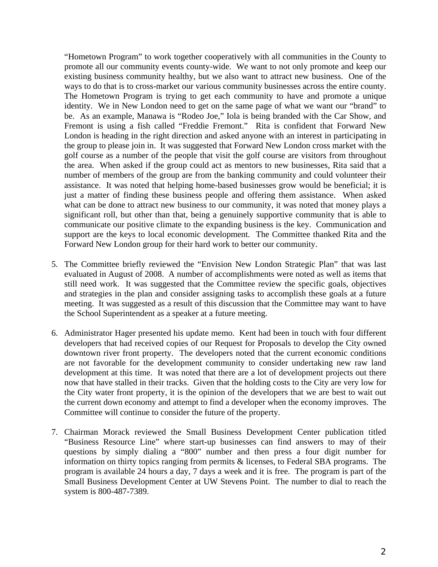"Hometown Program" to work together cooperatively with all communities in the County to promote all our community events county-wide. We want to not only promote and keep our existing business community healthy, but we also want to attract new business. One of the ways to do that is to cross-market our various community businesses across the entire county. The Hometown Program is trying to get each community to have and promote a unique identity. We in New London need to get on the same page of what we want our "brand" to be. As an example, Manawa is "Rodeo Joe," Iola is being branded with the Car Show, and Fremont is using a fish called "Freddie Fremont." Rita is confident that Forward New London is heading in the right direction and asked anyone with an interest in participating in the group to please join in. It was suggested that Forward New London cross market with the golf course as a number of the people that visit the golf course are visitors from throughout the area. When asked if the group could act as mentors to new businesses, Rita said that a number of members of the group are from the banking community and could volunteer their assistance. It was noted that helping home-based businesses grow would be beneficial; it is just a matter of finding these business people and offering them assistance. When asked what can be done to attract new business to our community, it was noted that money plays a significant roll, but other than that, being a genuinely supportive community that is able to communicate our positive climate to the expanding business is the key. Communication and support are the keys to local economic development. The Committee thanked Rita and the Forward New London group for their hard work to better our community.

- 5. The Committee briefly reviewed the "Envision New London Strategic Plan" that was last evaluated in August of 2008. A number of accomplishments were noted as well as items that still need work. It was suggested that the Committee review the specific goals, objectives and strategies in the plan and consider assigning tasks to accomplish these goals at a future meeting. It was suggested as a result of this discussion that the Committee may want to have the School Superintendent as a speaker at a future meeting.
- 6. Administrator Hager presented his update memo. Kent had been in touch with four different developers that had received copies of our Request for Proposals to develop the City owned downtown river front property. The developers noted that the current economic conditions are not favorable for the development community to consider undertaking new raw land development at this time. It was noted that there are a lot of development projects out there now that have stalled in their tracks. Given that the holding costs to the City are very low for the City water front property, it is the opinion of the developers that we are best to wait out the current down economy and attempt to find a developer when the economy improves. The Committee will continue to consider the future of the property.
- 7. Chairman Morack reviewed the Small Business Development Center publication titled "Business Resource Line" where start-up businesses can find answers to may of their questions by simply dialing a "800" number and then press a four digit number for information on thirty topics ranging from permits  $\&$  licenses, to Federal SBA programs. The program is available 24 hours a day, 7 days a week and it is free. The program is part of the Small Business Development Center at UW Stevens Point. The number to dial to reach the system is 800-487-7389.